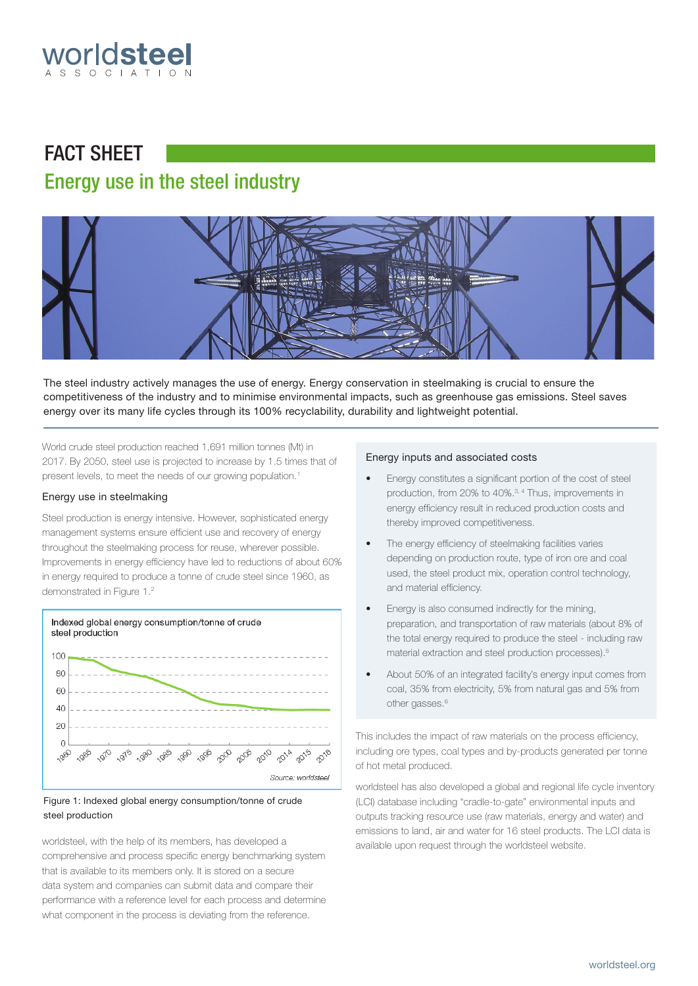

# FACT SHEET Energy use in the steel industry



The steel industry actively manages the use of energy. Energy conservation in steelmaking is crucial to ensure the competitiveness of the industry and to minimise environmental impacts, such as greenhouse gas emissions. Steel saves energy over its many life cycles through its 100% recyclability, durability and lightweight potential.

World crude steel production reached 1,691 million tonnes (Mt) in 2017. By 2050, steel use is projected to increase by 1.5 times that of present levels, to meet the needs of our growing population.<sup>1</sup>

# Energy use in steelmaking

Steel production is energy intensive. However, sophisticated energy management systems ensure efficient use and recovery of energy throughout the steelmaking process for reuse, wherever possible. Improvements in energy efficiency have led to reductions of about 60% in energy required to produce a tonne of crude steel since 1960, as demonstrated in Figure 1.2



# Figure 1: Indexed global energy consumption/tonne of crude steel production

worldsteel, with the help of its members, has developed a comprehensive and process specific energy benchmarking system that is available to its members only. It is stored on a secure data system and companies can submit data and compare their performance with a reference level for each process and determine what component in the process is deviating from the reference.

## Energy inputs and associated costs

- Energy constitutes a significant portion of the cost of steel production, from 20% to 40%.3, 4 Thus, improvements in energy efficiency result in reduced production costs and thereby improved competitiveness.
- The energy efficiency of steelmaking facilities varies depending on production route, type of iron ore and coal used, the steel product mix, operation control technology, and material efficiency.
- Energy is also consumed indirectly for the mining, preparation, and transportation of raw materials (about 8% of the total energy required to produce the steel - including raw material extraction and steel production processes).5
- About 50% of an integrated facility's energy input comes from coal, 35% from electricity, 5% from natural gas and 5% from other gasses.<sup>6</sup>

This includes the impact of raw materials on the process efficiency, including ore types, coal types and by-products generated per tonne of hot metal produced.

worldsteel has also developed a global and regional life cycle inventory (LCI) database including "cradle-to-gate" environmental inputs and outputs tracking resource use (raw materials, energy and water) and emissions to land, air and water for 16 steel products. The LCI data is available upon request through the worldsteel website.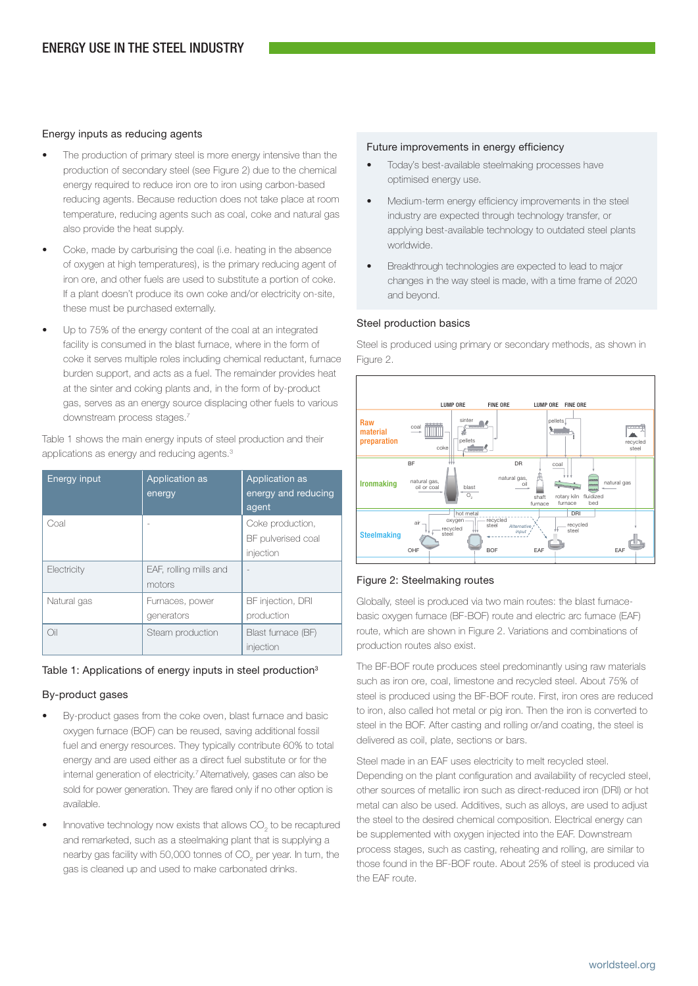# Energy inputs as reducing agents

- The production of primary steel is more energy intensive than the production of secondary steel (see Figure 2) due to the chemical energy required to reduce iron ore to iron using carbon-based reducing agents. Because reduction does not take place at room temperature, reducing agents such as coal, coke and natural gas also provide the heat supply.
- Coke, made by carburising the coal (i.e. heating in the absence of oxygen at high temperatures), is the primary reducing agent of iron ore, and other fuels are used to substitute a portion of coke. If a plant doesn't produce its own coke and/or electricity on-site, these must be purchased externally.
- Up to 75% of the energy content of the coal at an integrated facility is consumed in the blast furnace, where in the form of coke it serves multiple roles including chemical reductant, furnace burden support, and acts as a fuel. The remainder provides heat at the sinter and coking plants and, in the form of by-product gas, serves as an energy source displacing other fuels to various downstream process stages.7

Table 1 shows the main energy inputs of steel production and their applications as energy and reducing agents.<sup>3</sup>

| Energy input | Application as<br>energy         | <b>Application as</b><br>energy and reducing<br>agent |
|--------------|----------------------------------|-------------------------------------------------------|
| Coal         |                                  | Coke production,<br>BF pulverised coal<br>injection   |
| Electricity  | EAF, rolling mills and<br>motors |                                                       |
| Natural gas  | Furnaces, power<br>generators    | BF injection, DRI<br>production                       |
| Oil          | Steam production                 | Blast furnace (BF)<br>injection                       |

# Table 1: Applications of energy inputs in steel production<sup>3</sup>

# By-product gases

- By-product gases from the coke oven, blast furnace and basic oxygen furnace (BOF) can be reused, saving additional fossil fuel and energy resources. They typically contribute 60% to total energy and are used either as a direct fuel substitute or for the internal generation of electricity.<sup>7</sup> Alternatively, gases can also be sold for power generation. They are flared only if no other option is available.
- Innovative technology now exists that allows  $CO_2$  to be recaptured and remarketed, such as a steelmaking plant that is supplying a nearby gas facility with 50,000 tonnes of  $\mathrm{CO}_2$  per year. In turn, the gas is cleaned up and used to make carbonated drinks.

## Future improvements in energy efficiency

- Today's best-available steelmaking processes have optimised energy use.
- Medium-term energy efficiency improvements in the steel industry are expected through technology transfer, or applying best-available technology to outdated steel plants worldwide.
- Breakthrough technologies are expected to lead to major changes in the way steel is made, with a time frame of 2020 and beyond.

# Steel production basics

Steel is produced using primary or secondary methods, as shown in Figure 2.



# Figure 2: Steelmaking routes

Globally, steel is produced via two main routes: the blast furnacebasic oxygen furnace (BF-BOF) route and electric arc furnace (EAF) route, which are shown in Figure 2. Variations and combinations of production routes also exist.

The BF-BOF route produces steel predominantly using raw materials such as iron ore, coal, limestone and recycled steel. About 75% of steel is produced using the BF-BOF route. First, iron ores are reduced to iron, also called hot metal or pig iron. Then the iron is converted to steel in the BOF. After casting and rolling or/and coating, the steel is delivered as coil, plate, sections or bars.

Steel made in an EAF uses electricity to melt recycled steel. Depending on the plant configuration and availability of recycled steel, other sources of metallic iron such as direct-reduced iron (DRI) or hot metal can also be used. Additives, such as alloys, are used to adjust the steel to the desired chemical composition. Electrical energy can be supplemented with oxygen injected into the EAF. Downstream process stages, such as casting, reheating and rolling, are similar to those found in the BF-BOF route. About 25% of steel is produced via the EAF route.